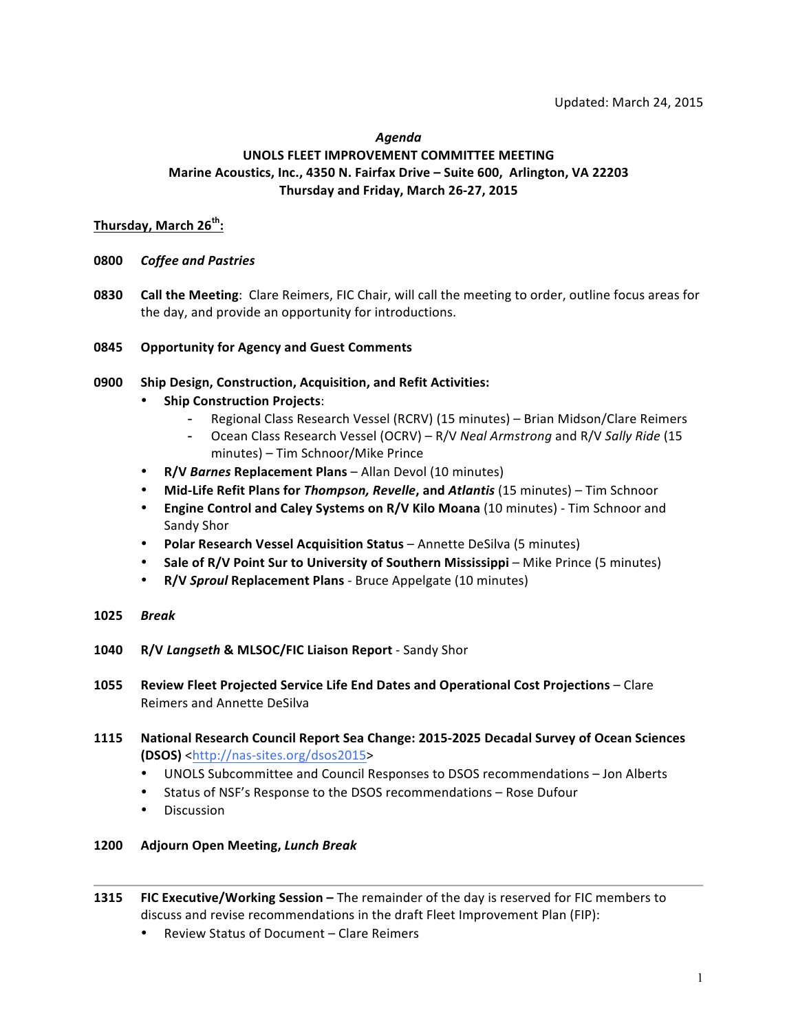#### *Agenda*

## UNOLS FLEET IMPROVEMENT COMMITTEE MEETING Marine Acoustics, Inc., 4350 N. Fairfax Drive - Suite 600, Arlington, VA 22203 Thursday and Friday, March 26-27, 2015

## **Thursday, March 26th :**

- **0800**  *Coffee and Pastries*
- **0830 Call the Meeting**: Clare Reimers, FIC Chair, will call the meeting to order, outline focus areas for the day, and provide an opportunity for introductions.

## **0845 Opportunity for Agency and Guest Comments**

- **0900** Ship Design, Construction, Acquisition, and Refit Activities:
	- **Ship Construction Projects:** 
		- Regional Class Research Vessel (RCRV) (15 minutes) Brian Midson/Clare Reimers
		- Ocean Class Research Vessel (OCRV) R/V *Neal Armstrong* and R/V *Sally Ride* (15 minutes) – Tim Schnoor/Mike Prince
	- **R/V** *Barnes* **Replacement Plans** Allan Devol (10 minutes)
	- Mid-Life Refit Plans for *Thompson, Revelle*, and *Atlantis* (15 minutes) Tim Schnoor
	- **Engine Control and Caley Systems on R/V Kilo Moana** (10 minutes) Tim Schnoor and Sandy Shor
	- **Polar Research Vessel Acquisition Status** Annette DeSilva (5 minutes)
	- Sale of R/V Point Sur to University of Southern Mississippi Mike Prince (5 minutes)
	- R/V Sproul Replacement Plans Bruce Appelgate (10 minutes)
- **1025** *Break*
- **1040 R/V** *Langseth* **& MLSOC/FIC Liaison Report** Sandy Shor
- **1055 Review Fleet Projected Service Life End Dates and Operational Cost Projections** Clare Reimers and Annette DeSilva
- **1115** National Research Council Report Sea Change: 2015-2025 Decadal Survey of Ocean Sciences **(DSOS)** <http://nas-sites.org/dsos2015>
	- UNOLS Subcommittee and Council Responses to DSOS recommendations Jon Alberts
	- Status of NSF's Response to the DSOS recommendations Rose Dufour
	- Discussion
- **1200 Adjourn Open Meeting,** *Lunch Break*
- **1315 FIC Executive/Working Session –** The remainder of the day is reserved for FIC members to discuss and revise recommendations in the draft Fleet Improvement Plan (FIP):
	- Review Status of Document – Clare Reimers